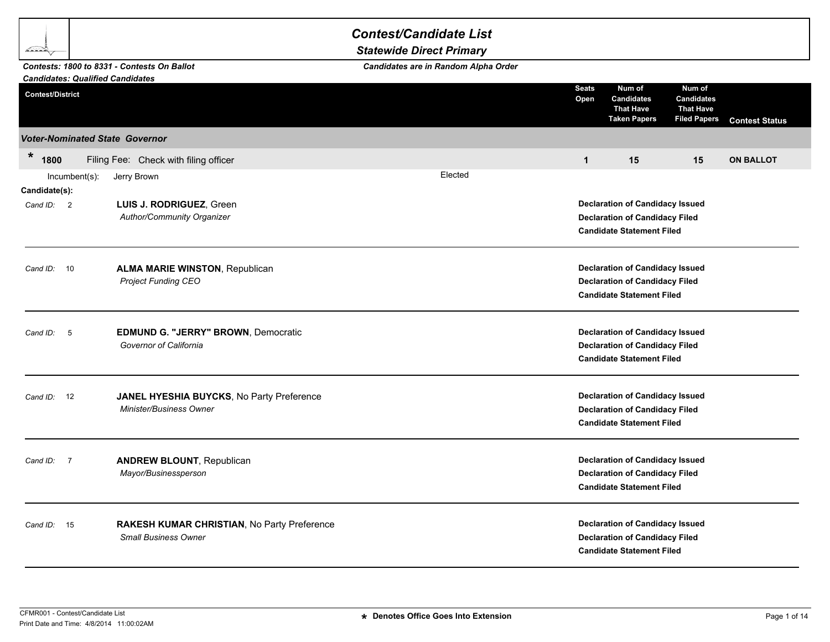|                                                                    |               |                                                                             | <b>Contest/Candidate List</b><br><b>Statewide Direct Primary</b> |                                                                                                                     |                                                                                                                     |                                                                        |                       |
|--------------------------------------------------------------------|---------------|-----------------------------------------------------------------------------|------------------------------------------------------------------|---------------------------------------------------------------------------------------------------------------------|---------------------------------------------------------------------------------------------------------------------|------------------------------------------------------------------------|-----------------------|
|                                                                    |               | Contests: 1800 to 8331 - Contests On Ballot                                 | Candidates are in Random Alpha Order                             |                                                                                                                     |                                                                                                                     |                                                                        |                       |
| <b>Candidates: Qualified Candidates</b><br><b>Contest/District</b> |               |                                                                             |                                                                  | <b>Seats</b><br>Open                                                                                                | Num of<br><b>Candidates</b><br><b>That Have</b><br><b>Taken Papers</b>                                              | Num of<br><b>Candidates</b><br><b>That Have</b><br><b>Filed Papers</b> | <b>Contest Status</b> |
|                                                                    |               | <b>Voter-Nominated State Governor</b>                                       |                                                                  |                                                                                                                     |                                                                                                                     |                                                                        |                       |
| $\star$<br>1800                                                    |               | Filing Fee: Check with filing officer                                       |                                                                  | $\mathbf{1}$                                                                                                        | 15                                                                                                                  | 15                                                                     | <b>ON BALLOT</b>      |
|                                                                    | Incumbent(s): | Jerry Brown                                                                 | Elected                                                          |                                                                                                                     |                                                                                                                     |                                                                        |                       |
| Candidate(s):<br>Cand ID: 2                                        |               | LUIS J. RODRIGUEZ, Green<br>Author/Community Organizer                      |                                                                  |                                                                                                                     | <b>Declaration of Candidacy Issued</b><br><b>Declaration of Candidacy Filed</b><br><b>Candidate Statement Filed</b> |                                                                        |                       |
| Cand $ID: 10$                                                      |               | <b>ALMA MARIE WINSTON, Republican</b><br><b>Project Funding CEO</b>         |                                                                  | <b>Declaration of Candidacy Issued</b><br><b>Declaration of Candidacy Filed</b><br><b>Candidate Statement Filed</b> |                                                                                                                     |                                                                        |                       |
| Cand ID:<br>- 5                                                    |               | EDMUND G. "JERRY" BROWN, Democratic<br>Governor of California               |                                                                  |                                                                                                                     | <b>Declaration of Candidacy Issued</b><br><b>Declaration of Candidacy Filed</b><br><b>Candidate Statement Filed</b> |                                                                        |                       |
| Cand ID: 12                                                        |               | JANEL HYESHIA BUYCKS, No Party Preference<br><b>Minister/Business Owner</b> |                                                                  |                                                                                                                     | <b>Declaration of Candidacy Issued</b><br><b>Declaration of Candidacy Filed</b><br><b>Candidate Statement Filed</b> |                                                                        |                       |
| Cand ID: 7                                                         |               | <b>ANDREW BLOUNT, Republican</b><br>Mayor/Businessperson                    |                                                                  |                                                                                                                     | <b>Declaration of Candidacy Issued</b><br><b>Declaration of Candidacy Filed</b><br><b>Candidate Statement Filed</b> |                                                                        |                       |
| Cand ID: 15                                                        |               | RAKESH KUMAR CHRISTIAN, No Party Preference<br><b>Small Business Owner</b>  |                                                                  |                                                                                                                     | <b>Declaration of Candidacy Issued</b><br><b>Declaration of Candidacy Filed</b><br><b>Candidate Statement Filed</b> |                                                                        |                       |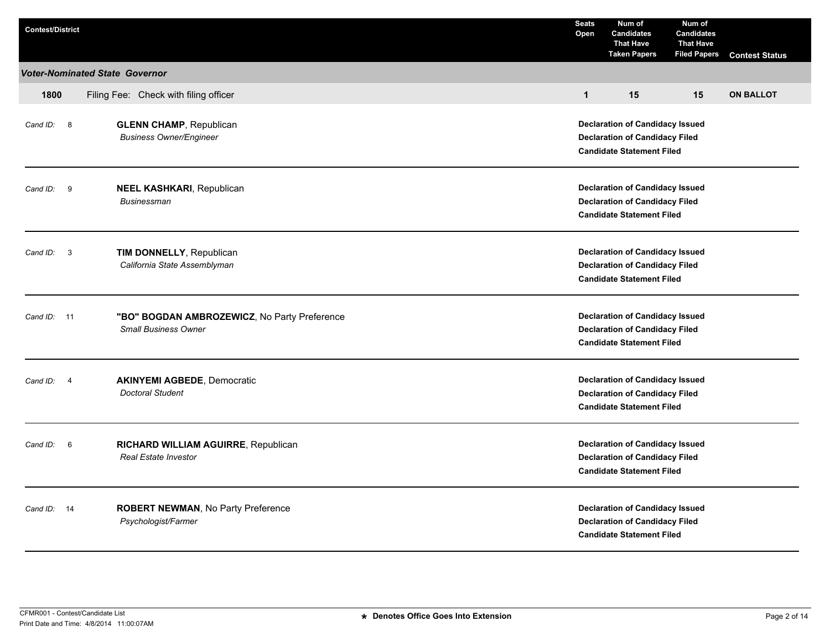| <b>Contest/District</b> |                                                                             | <b>Seats</b><br>Open                                                                                                | Num of<br><b>Candidates</b><br><b>That Have</b><br><b>Taken Papers</b>                                              | Num of<br><b>Candidates</b><br><b>That Have</b><br><b>Filed Papers</b> | <b>Contest Status</b> |  |
|-------------------------|-----------------------------------------------------------------------------|---------------------------------------------------------------------------------------------------------------------|---------------------------------------------------------------------------------------------------------------------|------------------------------------------------------------------------|-----------------------|--|
|                         | <b>Voter-Nominated State Governor</b>                                       |                                                                                                                     |                                                                                                                     |                                                                        |                       |  |
| 1800                    | Filing Fee: Check with filing officer                                       | $\mathbf{1}$                                                                                                        | 15                                                                                                                  | 15                                                                     | <b>ON BALLOT</b>      |  |
| Cand ID: 8              | <b>GLENN CHAMP, Republican</b><br><b>Business Owner/Engineer</b>            | <b>Declaration of Candidacy Issued</b><br><b>Declaration of Candidacy Filed</b><br><b>Candidate Statement Filed</b> |                                                                                                                     |                                                                        |                       |  |
| 9<br>Cand ID:           | <b>NEEL KASHKARI, Republican</b><br><b>Businessman</b>                      | <b>Declaration of Candidacy Issued</b><br><b>Declaration of Candidacy Filed</b><br><b>Candidate Statement Filed</b> |                                                                                                                     |                                                                        |                       |  |
| Cand ID: 3              | TIM DONNELLY, Republican<br>California State Assemblyman                    |                                                                                                                     | <b>Declaration of Candidacy Issued</b><br><b>Declaration of Candidacy Filed</b><br><b>Candidate Statement Filed</b> |                                                                        |                       |  |
| Cand ID: 11             | "BO" BOGDAN AMBROZEWICZ, No Party Preference<br><b>Small Business Owner</b> |                                                                                                                     | <b>Declaration of Candidacy Issued</b><br><b>Declaration of Candidacy Filed</b><br><b>Candidate Statement Filed</b> |                                                                        |                       |  |
| Cand ID: 4              | <b>AKINYEMI AGBEDE, Democratic</b><br><b>Doctoral Student</b>               |                                                                                                                     | <b>Declaration of Candidacy Issued</b><br><b>Declaration of Candidacy Filed</b><br><b>Candidate Statement Filed</b> |                                                                        |                       |  |
| Cand ID: 6              | RICHARD WILLIAM AGUIRRE, Republican<br><b>Real Estate Investor</b>          |                                                                                                                     | <b>Declaration of Candidacy Issued</b><br><b>Declaration of Candidacy Filed</b><br><b>Candidate Statement Filed</b> |                                                                        |                       |  |
| Cand ID: 14             | <b>ROBERT NEWMAN, No Party Preference</b><br>Psychologist/Farmer            |                                                                                                                     | <b>Declaration of Candidacy Issued</b><br><b>Declaration of Candidacy Filed</b><br><b>Candidate Statement Filed</b> |                                                                        |                       |  |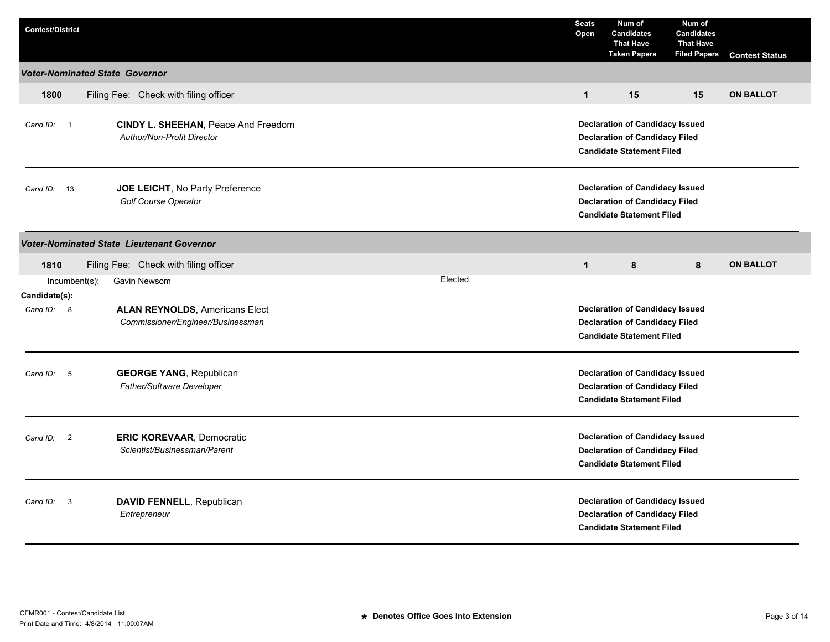| <b>Contest/District</b>               |                                                                            |         | <b>Seats</b><br>Open                                                                                                | Num of<br><b>Candidates</b><br><b>That Have</b><br><b>Taken Papers</b>                                              | Num of<br><b>Candidates</b><br><b>That Have</b><br><b>Filed Papers</b> | <b>Contest Status</b> |
|---------------------------------------|----------------------------------------------------------------------------|---------|---------------------------------------------------------------------------------------------------------------------|---------------------------------------------------------------------------------------------------------------------|------------------------------------------------------------------------|-----------------------|
| <b>Voter-Nominated State Governor</b> |                                                                            |         |                                                                                                                     |                                                                                                                     |                                                                        |                       |
| 1800                                  | Filing Fee: Check with filing officer                                      |         | $\mathbf{1}$                                                                                                        | 15                                                                                                                  | 15                                                                     | <b>ON BALLOT</b>      |
| Cand ID: 1                            | CINDY L. SHEEHAN, Peace And Freedom<br>Author/Non-Profit Director          |         | <b>Declaration of Candidacy Issued</b><br><b>Declaration of Candidacy Filed</b><br><b>Candidate Statement Filed</b> |                                                                                                                     |                                                                        |                       |
| Cand ID: 13                           | JOE LEICHT, No Party Preference<br>Golf Course Operator                    |         | <b>Declaration of Candidacy Issued</b><br><b>Declaration of Candidacy Filed</b><br><b>Candidate Statement Filed</b> |                                                                                                                     |                                                                        |                       |
|                                       | <b>Voter-Nominated State Lieutenant Governor</b>                           |         |                                                                                                                     |                                                                                                                     |                                                                        |                       |
| 1810                                  | Filing Fee: Check with filing officer                                      |         | $\mathbf{1}$                                                                                                        | 8                                                                                                                   | 8                                                                      | <b>ON BALLOT</b>      |
| Incumbent(s):<br>Candidate(s):        | Gavin Newsom                                                               | Elected |                                                                                                                     |                                                                                                                     |                                                                        |                       |
| Cand ID: 8                            | <b>ALAN REYNOLDS, Americans Elect</b><br>Commissioner/Engineer/Businessman |         | <b>Declaration of Candidacy Issued</b><br><b>Declaration of Candidacy Filed</b><br><b>Candidate Statement Filed</b> |                                                                                                                     |                                                                        |                       |
| $-5$<br>Cand ID:                      | <b>GEORGE YANG, Republican</b><br>Father/Software Developer                |         |                                                                                                                     | <b>Declaration of Candidacy Issued</b><br><b>Declaration of Candidacy Filed</b><br><b>Candidate Statement Filed</b> |                                                                        |                       |
| Cand ID:<br>$\overline{2}$            | <b>ERIC KOREVAAR, Democratic</b><br>Scientist/Businessman/Parent           |         |                                                                                                                     | <b>Declaration of Candidacy Issued</b><br><b>Declaration of Candidacy Filed</b><br><b>Candidate Statement Filed</b> |                                                                        |                       |
| $\overline{\mathbf{3}}$<br>Cand ID:   | DAVID FENNELL, Republican<br>Entrepreneur                                  |         |                                                                                                                     | <b>Declaration of Candidacy Issued</b><br><b>Declaration of Candidacy Filed</b><br><b>Candidate Statement Filed</b> |                                                                        |                       |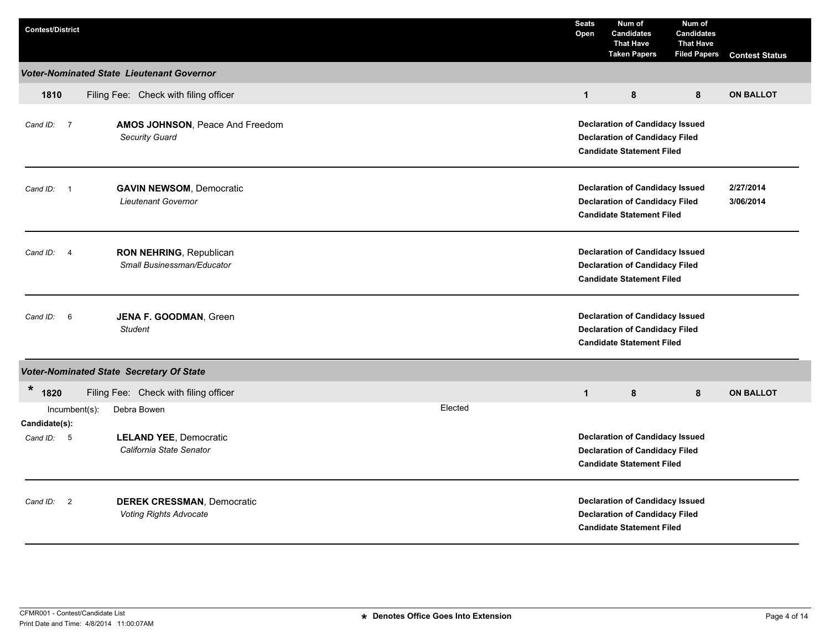| <b>Contest/District</b>              |                                                                    |         | <b>Seats</b><br>Open                                                                                                                          | Num of<br><b>Candidates</b><br><b>That Have</b><br><b>Taken Papers</b>                                              | Num of<br><b>Candidates</b><br><b>That Have</b><br><b>Filed Papers</b> | <b>Contest Status</b> |
|--------------------------------------|--------------------------------------------------------------------|---------|-----------------------------------------------------------------------------------------------------------------------------------------------|---------------------------------------------------------------------------------------------------------------------|------------------------------------------------------------------------|-----------------------|
|                                      | <b>Voter-Nominated State Lieutenant Governor</b>                   |         |                                                                                                                                               |                                                                                                                     |                                                                        |                       |
| 1810                                 | Filing Fee: Check with filing officer                              |         | $\mathbf{1}$                                                                                                                                  | 8                                                                                                                   | 8                                                                      | <b>ON BALLOT</b>      |
| Cand ID: 7                           | AMOS JOHNSON, Peace And Freedom<br>Security Guard                  |         | <b>Declaration of Candidacy Issued</b><br><b>Declaration of Candidacy Filed</b><br><b>Candidate Statement Filed</b>                           |                                                                                                                     |                                                                        |                       |
| Cand ID:<br>$\overline{\phantom{0}}$ | <b>GAVIN NEWSOM, Democratic</b><br>Lieutenant Governor             |         | <b>Declaration of Candidacy Issued</b><br>2/27/2014<br><b>Declaration of Candidacy Filed</b><br>3/06/2014<br><b>Candidate Statement Filed</b> |                                                                                                                     |                                                                        |                       |
| Cand ID: 4                           | RON NEHRING, Republican<br>Small Businessman/Educator              |         |                                                                                                                                               | <b>Declaration of Candidacy Issued</b><br><b>Declaration of Candidacy Filed</b><br><b>Candidate Statement Filed</b> |                                                                        |                       |
| 6<br>Cand ID:                        | JENA F. GOODMAN, Green<br><b>Student</b>                           |         |                                                                                                                                               | <b>Declaration of Candidacy Issued</b><br><b>Declaration of Candidacy Filed</b><br><b>Candidate Statement Filed</b> |                                                                        |                       |
|                                      | <b>Voter-Nominated State Secretary Of State</b>                    |         |                                                                                                                                               |                                                                                                                     |                                                                        |                       |
| *<br>1820                            | Filing Fee: Check with filing officer                              |         | $\mathbf{1}$                                                                                                                                  | 8                                                                                                                   | 8                                                                      | <b>ON BALLOT</b>      |
| $Incumbent(s)$ :<br>Candidate(s):    | Debra Bowen                                                        | Elected |                                                                                                                                               |                                                                                                                     |                                                                        |                       |
| Cand ID: 5                           | <b>LELAND YEE, Democratic</b><br>California State Senator          |         |                                                                                                                                               | <b>Declaration of Candidacy Issued</b><br><b>Declaration of Candidacy Filed</b><br><b>Candidate Statement Filed</b> |                                                                        |                       |
| Cand ID: 2                           | <b>DEREK CRESSMAN, Democratic</b><br><b>Voting Rights Advocate</b> |         |                                                                                                                                               | <b>Declaration of Candidacy Issued</b><br><b>Declaration of Candidacy Filed</b><br><b>Candidate Statement Filed</b> |                                                                        |                       |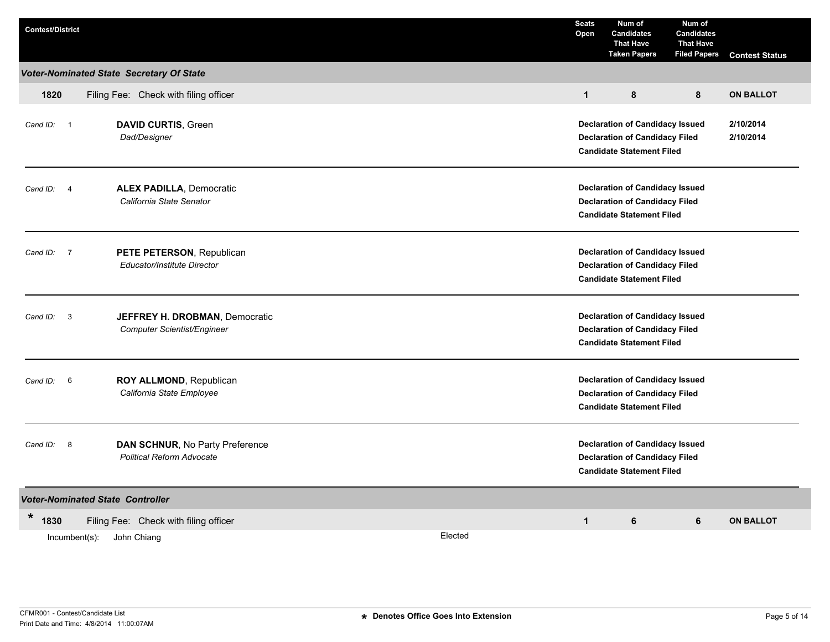| <b>Contest/District</b>    |                                                                     |         | <b>Seats</b><br>Open                                                                                                | Num of<br><b>Candidates</b><br><b>That Have</b><br><b>Taken Papers</b>                                              | Num of<br><b>Candidates</b><br><b>That Have</b><br><b>Filed Papers</b> | <b>Contest Status</b>  |  |  |
|----------------------------|---------------------------------------------------------------------|---------|---------------------------------------------------------------------------------------------------------------------|---------------------------------------------------------------------------------------------------------------------|------------------------------------------------------------------------|------------------------|--|--|
|                            | Voter-Nominated State Secretary Of State                            |         |                                                                                                                     |                                                                                                                     |                                                                        |                        |  |  |
| 1820                       | Filing Fee: Check with filing officer                               |         | $\mathbf{1}$                                                                                                        | 8                                                                                                                   | 8                                                                      | <b>ON BALLOT</b>       |  |  |
| Cand ID: 1                 | <b>DAVID CURTIS, Green</b><br>Dad/Designer                          |         |                                                                                                                     | <b>Declaration of Candidacy Issued</b><br><b>Declaration of Candidacy Filed</b><br><b>Candidate Statement Filed</b> |                                                                        | 2/10/2014<br>2/10/2014 |  |  |
| $\overline{4}$<br>Cand ID: | <b>ALEX PADILLA, Democratic</b><br>California State Senator         |         | <b>Declaration of Candidacy Issued</b><br><b>Declaration of Candidacy Filed</b><br><b>Candidate Statement Filed</b> |                                                                                                                     |                                                                        |                        |  |  |
| Cand ID: 7                 | PETE PETERSON, Republican<br>Educator/Institute Director            |         |                                                                                                                     | <b>Declaration of Candidacy Issued</b><br><b>Declaration of Candidacy Filed</b><br><b>Candidate Statement Filed</b> |                                                                        |                        |  |  |
| Cand ID: 3                 | JEFFREY H. DROBMAN, Democratic<br>Computer Scientist/Engineer       |         |                                                                                                                     | <b>Declaration of Candidacy Issued</b><br><b>Declaration of Candidacy Filed</b><br><b>Candidate Statement Filed</b> |                                                                        |                        |  |  |
| Cand ID: 6                 | ROY ALLMOND, Republican<br>California State Employee                |         | <b>Declaration of Candidacy Issued</b><br><b>Declaration of Candidacy Filed</b><br><b>Candidate Statement Filed</b> |                                                                                                                     |                                                                        |                        |  |  |
| Cand ID: 8                 | DAN SCHNUR, No Party Preference<br><b>Political Reform Advocate</b> |         | <b>Declaration of Candidacy Issued</b><br><b>Declaration of Candidacy Filed</b><br><b>Candidate Statement Filed</b> |                                                                                                                     |                                                                        |                        |  |  |
|                            | <b>Voter-Nominated State Controller</b>                             |         |                                                                                                                     |                                                                                                                     |                                                                        |                        |  |  |
| *<br>1830                  | Filing Fee: Check with filing officer                               |         | $\mathbf{1}$                                                                                                        | 6                                                                                                                   | 6                                                                      | <b>ON BALLOT</b>       |  |  |
|                            | Incumbent(s):<br>John Chiang                                        | Elected |                                                                                                                     |                                                                                                                     |                                                                        |                        |  |  |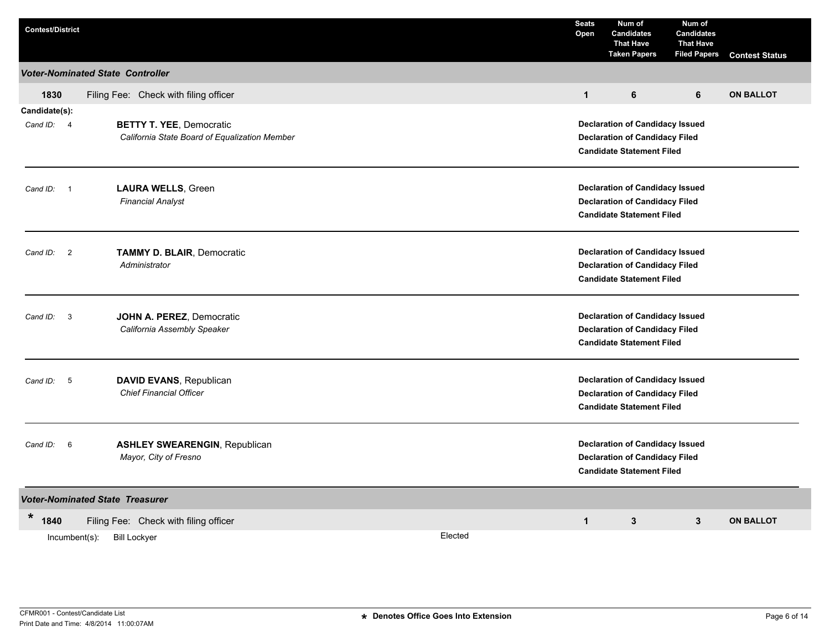| <b>Voter-Nominated State Controller</b><br>Filing Fee: Check with filing officer<br>6<br><b>ON BALLOT</b><br>1830<br>$\mathbf{1}$<br>6<br>Candidate(s):<br><b>BETTY T. YEE, Democratic</b><br><b>Declaration of Candidacy Issued</b><br>Cand ID: 4<br>California State Board of Equalization Member<br><b>Declaration of Candidacy Filed</b><br><b>Candidate Statement Filed</b><br><b>LAURA WELLS, Green</b><br><b>Declaration of Candidacy Issued</b><br>$\overline{\phantom{0}}$ 1<br>Cand ID:<br><b>Financial Analyst</b><br><b>Declaration of Candidacy Filed</b><br><b>Candidate Statement Filed</b><br><b>Declaration of Candidacy Issued</b><br><b>TAMMY D. BLAIR, Democratic</b><br>Cand ID: 2<br>Administrator<br><b>Declaration of Candidacy Filed</b><br><b>Candidate Statement Filed</b><br>JOHN A. PEREZ, Democratic<br><b>Declaration of Candidacy Issued</b><br>Cand ID: 3<br>California Assembly Speaker<br><b>Declaration of Candidacy Filed</b><br><b>Candidate Statement Filed</b><br><b>Declaration of Candidacy Issued</b><br>DAVID EVANS, Republican<br>Cand ID: 5<br><b>Chief Financial Officer</b><br><b>Declaration of Candidacy Filed</b><br><b>Candidate Statement Filed</b><br><b>Declaration of Candidacy Issued</b><br><b>ASHLEY SWEARENGIN, Republican</b><br>Cand ID: 6<br>Mayor, City of Fresno<br><b>Declaration of Candidacy Filed</b><br><b>Candidate Statement Filed</b> | <b>Contest/District</b> |  |  | <b>Seats</b><br>Open | Num of<br><b>Candidates</b><br><b>That Have</b><br><b>Taken Papers</b> | Num of<br><b>Candidates</b><br><b>That Have</b><br><b>Filed Papers</b> | <b>Contest Status</b> |  |  |  |  |
|----------------------------------------------------------------------------------------------------------------------------------------------------------------------------------------------------------------------------------------------------------------------------------------------------------------------------------------------------------------------------------------------------------------------------------------------------------------------------------------------------------------------------------------------------------------------------------------------------------------------------------------------------------------------------------------------------------------------------------------------------------------------------------------------------------------------------------------------------------------------------------------------------------------------------------------------------------------------------------------------------------------------------------------------------------------------------------------------------------------------------------------------------------------------------------------------------------------------------------------------------------------------------------------------------------------------------------------------------------------------------------------------------------------|-------------------------|--|--|----------------------|------------------------------------------------------------------------|------------------------------------------------------------------------|-----------------------|--|--|--|--|
|                                                                                                                                                                                                                                                                                                                                                                                                                                                                                                                                                                                                                                                                                                                                                                                                                                                                                                                                                                                                                                                                                                                                                                                                                                                                                                                                                                                                                |                         |  |  |                      |                                                                        |                                                                        |                       |  |  |  |  |
|                                                                                                                                                                                                                                                                                                                                                                                                                                                                                                                                                                                                                                                                                                                                                                                                                                                                                                                                                                                                                                                                                                                                                                                                                                                                                                                                                                                                                |                         |  |  |                      |                                                                        |                                                                        |                       |  |  |  |  |
|                                                                                                                                                                                                                                                                                                                                                                                                                                                                                                                                                                                                                                                                                                                                                                                                                                                                                                                                                                                                                                                                                                                                                                                                                                                                                                                                                                                                                |                         |  |  |                      |                                                                        |                                                                        |                       |  |  |  |  |
|                                                                                                                                                                                                                                                                                                                                                                                                                                                                                                                                                                                                                                                                                                                                                                                                                                                                                                                                                                                                                                                                                                                                                                                                                                                                                                                                                                                                                |                         |  |  |                      |                                                                        |                                                                        |                       |  |  |  |  |
|                                                                                                                                                                                                                                                                                                                                                                                                                                                                                                                                                                                                                                                                                                                                                                                                                                                                                                                                                                                                                                                                                                                                                                                                                                                                                                                                                                                                                |                         |  |  |                      |                                                                        |                                                                        |                       |  |  |  |  |
|                                                                                                                                                                                                                                                                                                                                                                                                                                                                                                                                                                                                                                                                                                                                                                                                                                                                                                                                                                                                                                                                                                                                                                                                                                                                                                                                                                                                                |                         |  |  |                      |                                                                        |                                                                        |                       |  |  |  |  |
|                                                                                                                                                                                                                                                                                                                                                                                                                                                                                                                                                                                                                                                                                                                                                                                                                                                                                                                                                                                                                                                                                                                                                                                                                                                                                                                                                                                                                |                         |  |  |                      |                                                                        |                                                                        |                       |  |  |  |  |
|                                                                                                                                                                                                                                                                                                                                                                                                                                                                                                                                                                                                                                                                                                                                                                                                                                                                                                                                                                                                                                                                                                                                                                                                                                                                                                                                                                                                                |                         |  |  |                      |                                                                        |                                                                        |                       |  |  |  |  |
|                                                                                                                                                                                                                                                                                                                                                                                                                                                                                                                                                                                                                                                                                                                                                                                                                                                                                                                                                                                                                                                                                                                                                                                                                                                                                                                                                                                                                |                         |  |  |                      |                                                                        |                                                                        |                       |  |  |  |  |
|                                                                                                                                                                                                                                                                                                                                                                                                                                                                                                                                                                                                                                                                                                                                                                                                                                                                                                                                                                                                                                                                                                                                                                                                                                                                                                                                                                                                                |                         |  |  |                      |                                                                        |                                                                        |                       |  |  |  |  |
|                                                                                                                                                                                                                                                                                                                                                                                                                                                                                                                                                                                                                                                                                                                                                                                                                                                                                                                                                                                                                                                                                                                                                                                                                                                                                                                                                                                                                |                         |  |  |                      |                                                                        |                                                                        |                       |  |  |  |  |
|                                                                                                                                                                                                                                                                                                                                                                                                                                                                                                                                                                                                                                                                                                                                                                                                                                                                                                                                                                                                                                                                                                                                                                                                                                                                                                                                                                                                                |                         |  |  |                      |                                                                        |                                                                        |                       |  |  |  |  |
|                                                                                                                                                                                                                                                                                                                                                                                                                                                                                                                                                                                                                                                                                                                                                                                                                                                                                                                                                                                                                                                                                                                                                                                                                                                                                                                                                                                                                |                         |  |  |                      |                                                                        |                                                                        |                       |  |  |  |  |
|                                                                                                                                                                                                                                                                                                                                                                                                                                                                                                                                                                                                                                                                                                                                                                                                                                                                                                                                                                                                                                                                                                                                                                                                                                                                                                                                                                                                                |                         |  |  |                      |                                                                        |                                                                        |                       |  |  |  |  |
|                                                                                                                                                                                                                                                                                                                                                                                                                                                                                                                                                                                                                                                                                                                                                                                                                                                                                                                                                                                                                                                                                                                                                                                                                                                                                                                                                                                                                |                         |  |  |                      |                                                                        |                                                                        |                       |  |  |  |  |
|                                                                                                                                                                                                                                                                                                                                                                                                                                                                                                                                                                                                                                                                                                                                                                                                                                                                                                                                                                                                                                                                                                                                                                                                                                                                                                                                                                                                                |                         |  |  |                      |                                                                        |                                                                        |                       |  |  |  |  |
|                                                                                                                                                                                                                                                                                                                                                                                                                                                                                                                                                                                                                                                                                                                                                                                                                                                                                                                                                                                                                                                                                                                                                                                                                                                                                                                                                                                                                |                         |  |  |                      |                                                                        |                                                                        |                       |  |  |  |  |
|                                                                                                                                                                                                                                                                                                                                                                                                                                                                                                                                                                                                                                                                                                                                                                                                                                                                                                                                                                                                                                                                                                                                                                                                                                                                                                                                                                                                                |                         |  |  |                      |                                                                        |                                                                        |                       |  |  |  |  |
|                                                                                                                                                                                                                                                                                                                                                                                                                                                                                                                                                                                                                                                                                                                                                                                                                                                                                                                                                                                                                                                                                                                                                                                                                                                                                                                                                                                                                |                         |  |  |                      |                                                                        |                                                                        |                       |  |  |  |  |
|                                                                                                                                                                                                                                                                                                                                                                                                                                                                                                                                                                                                                                                                                                                                                                                                                                                                                                                                                                                                                                                                                                                                                                                                                                                                                                                                                                                                                |                         |  |  |                      |                                                                        |                                                                        |                       |  |  |  |  |
|                                                                                                                                                                                                                                                                                                                                                                                                                                                                                                                                                                                                                                                                                                                                                                                                                                                                                                                                                                                                                                                                                                                                                                                                                                                                                                                                                                                                                |                         |  |  |                      |                                                                        |                                                                        |                       |  |  |  |  |
|                                                                                                                                                                                                                                                                                                                                                                                                                                                                                                                                                                                                                                                                                                                                                                                                                                                                                                                                                                                                                                                                                                                                                                                                                                                                                                                                                                                                                |                         |  |  |                      |                                                                        |                                                                        |                       |  |  |  |  |
| <b>Voter-Nominated State Treasurer</b>                                                                                                                                                                                                                                                                                                                                                                                                                                                                                                                                                                                                                                                                                                                                                                                                                                                                                                                                                                                                                                                                                                                                                                                                                                                                                                                                                                         |                         |  |  |                      |                                                                        |                                                                        |                       |  |  |  |  |
| *<br>1840<br>Filing Fee: Check with filing officer<br>$\mathbf{1}$<br>3<br>$\mathbf{3}$<br><b>ON BALLOT</b>                                                                                                                                                                                                                                                                                                                                                                                                                                                                                                                                                                                                                                                                                                                                                                                                                                                                                                                                                                                                                                                                                                                                                                                                                                                                                                    |                         |  |  |                      |                                                                        |                                                                        |                       |  |  |  |  |
| Elected<br>Incumbent(s):<br><b>Bill Lockyer</b>                                                                                                                                                                                                                                                                                                                                                                                                                                                                                                                                                                                                                                                                                                                                                                                                                                                                                                                                                                                                                                                                                                                                                                                                                                                                                                                                                                |                         |  |  |                      |                                                                        |                                                                        |                       |  |  |  |  |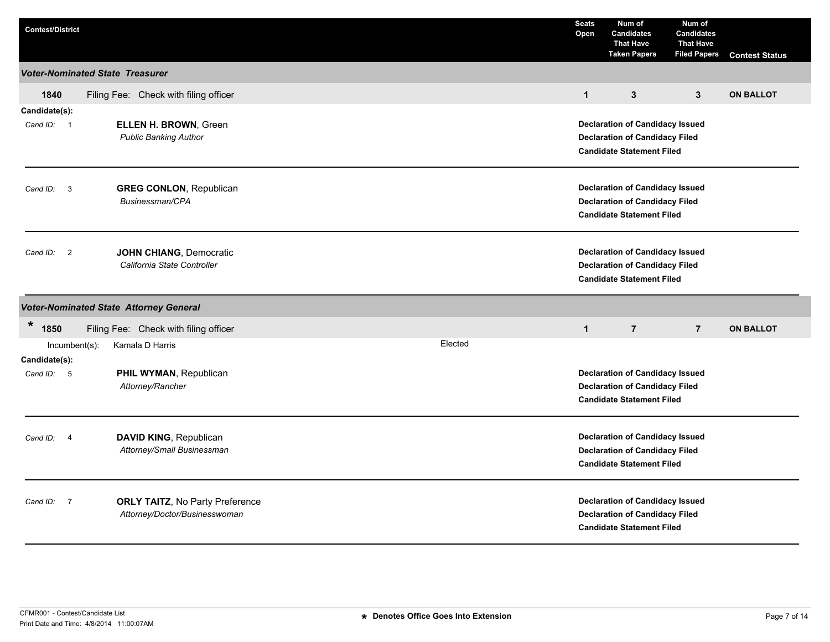| <b>Contest/District</b>                |                                                                         |         | <b>Seats</b><br>Open                                                                                                | Num of<br><b>Candidates</b><br><b>That Have</b><br><b>Taken Papers</b>                                              | Num of<br><b>Candidates</b><br><b>That Have</b><br><b>Filed Papers</b> | <b>Contest Status</b> |
|----------------------------------------|-------------------------------------------------------------------------|---------|---------------------------------------------------------------------------------------------------------------------|---------------------------------------------------------------------------------------------------------------------|------------------------------------------------------------------------|-----------------------|
| <b>Voter-Nominated State Treasurer</b> |                                                                         |         |                                                                                                                     |                                                                                                                     |                                                                        |                       |
| 1840                                   | Filing Fee: Check with filing officer                                   |         | $\mathbf{1}$                                                                                                        | 3                                                                                                                   | $\mathbf{3}$                                                           | <b>ON BALLOT</b>      |
| Candidate(s):<br>Cand ID: 1            | ELLEN H. BROWN, Green<br><b>Public Banking Author</b>                   |         | <b>Declaration of Candidacy Issued</b><br><b>Declaration of Candidacy Filed</b><br><b>Candidate Statement Filed</b> |                                                                                                                     |                                                                        |                       |
| $\overline{\mathbf{3}}$<br>Cand ID:    | <b>GREG CONLON, Republican</b><br>Businessman/CPA                       |         | <b>Declaration of Candidacy Issued</b><br><b>Declaration of Candidacy Filed</b><br><b>Candidate Statement Filed</b> |                                                                                                                     |                                                                        |                       |
| Cand ID: 2                             | JOHN CHIANG, Democratic<br>California State Controller                  |         |                                                                                                                     | <b>Declaration of Candidacy Issued</b><br><b>Declaration of Candidacy Filed</b><br><b>Candidate Statement Filed</b> |                                                                        |                       |
|                                        | <b>Voter-Nominated State Attorney General</b>                           |         |                                                                                                                     |                                                                                                                     |                                                                        |                       |
| $\star$<br>1850                        | Filing Fee: Check with filing officer                                   |         | $\mathbf{1}$                                                                                                        | $\overline{7}$                                                                                                      | $\overline{7}$                                                         | <b>ON BALLOT</b>      |
| Incumbent(s):<br>Candidate(s):         | Kamala D Harris                                                         | Elected |                                                                                                                     |                                                                                                                     |                                                                        |                       |
| Cand ID: 5                             | PHIL WYMAN, Republican<br>Attorney/Rancher                              |         |                                                                                                                     | <b>Declaration of Candidacy Issued</b><br><b>Declaration of Candidacy Filed</b><br><b>Candidate Statement Filed</b> |                                                                        |                       |
| Cand ID:<br>$\overline{4}$             | DAVID KING, Republican<br>Attorney/Small Businessman                    |         |                                                                                                                     | <b>Declaration of Candidacy Issued</b><br><b>Declaration of Candidacy Filed</b><br><b>Candidate Statement Filed</b> |                                                                        |                       |
| $\overline{7}$<br>Cand ID:             | <b>ORLY TAITZ, No Party Preference</b><br>Attorney/Doctor/Businesswoman |         |                                                                                                                     | <b>Declaration of Candidacy Issued</b><br><b>Declaration of Candidacy Filed</b><br><b>Candidate Statement Filed</b> |                                                                        |                       |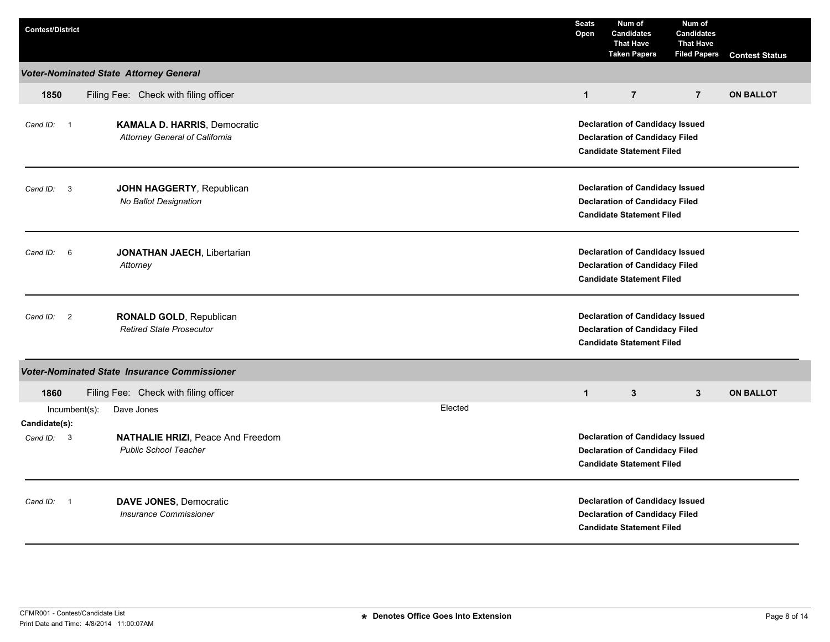| <b>Contest/District</b>              |                                                                              |         | <b>Seats</b><br>Open                                                                                                | Num of<br><b>Candidates</b><br><b>That Have</b><br><b>Taken Papers</b>                                              | Num of<br><b>Candidates</b><br><b>That Have</b><br><b>Filed Papers</b> | <b>Contest Status</b> |
|--------------------------------------|------------------------------------------------------------------------------|---------|---------------------------------------------------------------------------------------------------------------------|---------------------------------------------------------------------------------------------------------------------|------------------------------------------------------------------------|-----------------------|
|                                      | <b>Voter-Nominated State Attorney General</b>                                |         |                                                                                                                     |                                                                                                                     |                                                                        |                       |
| 1850                                 | Filing Fee: Check with filing officer                                        |         | $\mathbf{1}$                                                                                                        | $\overline{7}$                                                                                                      | $\overline{7}$                                                         | <b>ON BALLOT</b>      |
| Cand ID: 1                           | <b>KAMALA D. HARRIS, Democratic</b><br><b>Attorney General of California</b> |         | <b>Declaration of Candidacy Issued</b><br><b>Declaration of Candidacy Filed</b><br><b>Candidate Statement Filed</b> |                                                                                                                     |                                                                        |                       |
| $\overline{\mathbf{3}}$<br>Cand ID:  | JOHN HAGGERTY, Republican<br>No Ballot Designation                           |         | <b>Declaration of Candidacy Issued</b><br><b>Declaration of Candidacy Filed</b><br><b>Candidate Statement Filed</b> |                                                                                                                     |                                                                        |                       |
| Cand ID: 6                           | <b>JONATHAN JAECH, Libertarian</b><br>Attorney                               |         | <b>Declaration of Candidacy Issued</b><br><b>Declaration of Candidacy Filed</b><br><b>Candidate Statement Filed</b> |                                                                                                                     |                                                                        |                       |
| $\overline{\phantom{a}}$<br>Cand ID: | RONALD GOLD, Republican<br><b>Retired State Prosecutor</b>                   |         | <b>Declaration of Candidacy Issued</b><br><b>Declaration of Candidacy Filed</b><br><b>Candidate Statement Filed</b> |                                                                                                                     |                                                                        |                       |
|                                      | <b>Voter-Nominated State Insurance Commissioner</b>                          |         |                                                                                                                     |                                                                                                                     |                                                                        |                       |
| 1860                                 | Filing Fee: Check with filing officer                                        |         | $\mathbf{1}$                                                                                                        | 3                                                                                                                   | 3                                                                      | <b>ON BALLOT</b>      |
| Incumbent(s):<br>Candidate(s):       | Dave Jones                                                                   | Elected |                                                                                                                     |                                                                                                                     |                                                                        |                       |
| Cand ID: 3                           | NATHALIE HRIZI, Peace And Freedom<br><b>Public School Teacher</b>            |         |                                                                                                                     | <b>Declaration of Candidacy Issued</b><br><b>Declaration of Candidacy Filed</b><br><b>Candidate Statement Filed</b> |                                                                        |                       |
| Cand ID: 1                           | <b>DAVE JONES, Democratic</b><br><b>Insurance Commissioner</b>               |         |                                                                                                                     | <b>Declaration of Candidacy Issued</b><br><b>Declaration of Candidacy Filed</b><br><b>Candidate Statement Filed</b> |                                                                        |                       |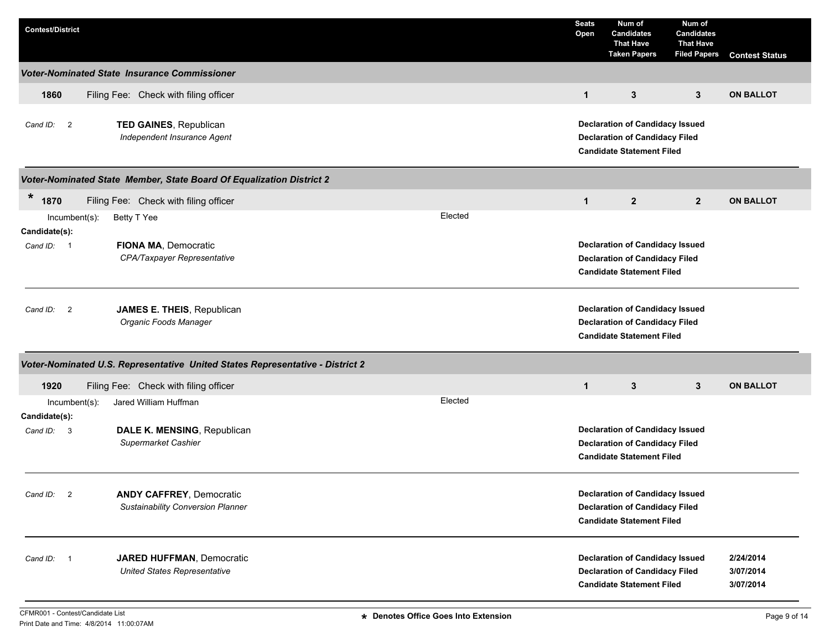| <b>Contest/District</b>        |                                                                               | <b>Seats</b><br>Open | Num of<br><b>Candidates</b><br><b>That Have</b><br><b>Taken Papers</b>                                              | Num of<br><b>Candidates</b><br><b>That Have</b><br><b>Filed Papers</b> | <b>Contest Status</b>               |  |
|--------------------------------|-------------------------------------------------------------------------------|----------------------|---------------------------------------------------------------------------------------------------------------------|------------------------------------------------------------------------|-------------------------------------|--|
|                                | <b>Voter-Nominated State Insurance Commissioner</b>                           |                      |                                                                                                                     |                                                                        |                                     |  |
| 1860                           | Filing Fee: Check with filing officer                                         | $\mathbf{1}$         | 3                                                                                                                   | 3                                                                      | <b>ON BALLOT</b>                    |  |
| Cand ID: 2                     | TED GAINES, Republican<br>Independent Insurance Agent                         |                      | <b>Declaration of Candidacy Issued</b><br><b>Declaration of Candidacy Filed</b><br><b>Candidate Statement Filed</b> |                                                                        |                                     |  |
|                                | Voter-Nominated State Member, State Board Of Equalization District 2          |                      |                                                                                                                     |                                                                        |                                     |  |
| $\star$<br>1870                | Filing Fee: Check with filing officer                                         | $\mathbf{1}$         | $\mathbf{2}$                                                                                                        | $\mathbf{2}$                                                           | <b>ON BALLOT</b>                    |  |
| $Incumbent(s)$ :               | Elected<br>Betty T Yee                                                        |                      |                                                                                                                     |                                                                        |                                     |  |
| Candidate(s):<br>Cand ID: 1    | FIONA MA, Democratic<br>CPA/Taxpayer Representative                           |                      | <b>Declaration of Candidacy Issued</b><br><b>Declaration of Candidacy Filed</b><br><b>Candidate Statement Filed</b> |                                                                        |                                     |  |
| Cand ID: 2                     | JAMES E. THEIS, Republican<br>Organic Foods Manager                           |                      | <b>Declaration of Candidacy Issued</b><br><b>Declaration of Candidacy Filed</b><br><b>Candidate Statement Filed</b> |                                                                        |                                     |  |
|                                | Voter-Nominated U.S. Representative United States Representative - District 2 |                      |                                                                                                                     |                                                                        |                                     |  |
| 1920                           | Filing Fee: Check with filing officer                                         | $\mathbf{1}$         | 3                                                                                                                   | $\mathbf{3}$                                                           | <b>ON BALLOT</b>                    |  |
| Incumbent(s):<br>Candidate(s): | Elected<br>Jared William Huffman                                              |                      |                                                                                                                     |                                                                        |                                     |  |
| Cand ID: 3                     | DALE K. MENSING, Republican<br>Supermarket Cashier                            |                      | <b>Declaration of Candidacy Issued</b><br><b>Declaration of Candidacy Filed</b><br><b>Candidate Statement Filed</b> |                                                                        |                                     |  |
| Cand ID: 2                     | <b>ANDY CAFFREY, Democratic</b><br>Sustainability Conversion Planner          |                      | <b>Declaration of Candidacy Issued</b><br><b>Declaration of Candidacy Filed</b><br><b>Candidate Statement Filed</b> |                                                                        |                                     |  |
| Cand ID: 1                     | <b>JARED HUFFMAN, Democratic</b><br><b>United States Representative</b>       |                      | <b>Declaration of Candidacy Issued</b><br><b>Declaration of Candidacy Filed</b><br><b>Candidate Statement Filed</b> |                                                                        | 2/24/2014<br>3/07/2014<br>3/07/2014 |  |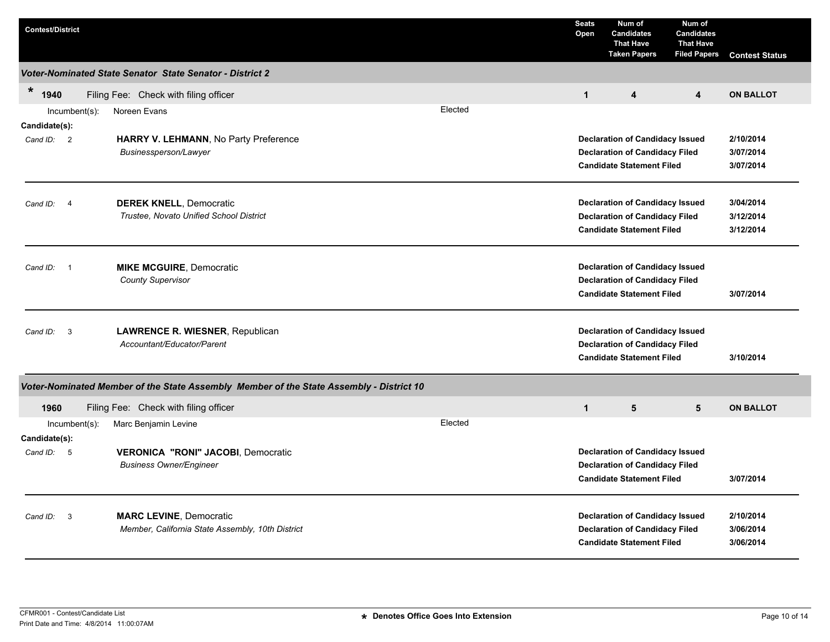| <b>Contest/District</b>                |                                                                                         |         | <b>Seats</b><br>Open | Num of<br><b>Candidates</b><br><b>That Have</b><br><b>Taken Papers</b>                                              | Num of<br><b>Candidates</b><br><b>That Have</b><br><b>Filed Papers</b> | <b>Contest Status</b>               |
|----------------------------------------|-----------------------------------------------------------------------------------------|---------|----------------------|---------------------------------------------------------------------------------------------------------------------|------------------------------------------------------------------------|-------------------------------------|
|                                        | Voter-Nominated State Senator State Senator - District 2                                |         |                      |                                                                                                                     |                                                                        |                                     |
| $\ast$<br>1940                         | Filing Fee: Check with filing officer                                                   |         | $\mathbf{1}$         | $\overline{\mathbf{4}}$                                                                                             | $\overline{\mathbf{4}}$                                                | <b>ON BALLOT</b>                    |
| $Incumbent(s)$ :<br>Candidate(s):      | Noreen Evans                                                                            | Elected |                      |                                                                                                                     |                                                                        |                                     |
| Cand ID: 2                             | HARRY V. LEHMANN, No Party Preference<br>Businessperson/Lawyer                          |         |                      | <b>Declaration of Candidacy Issued</b><br><b>Declaration of Candidacy Filed</b><br><b>Candidate Statement Filed</b> |                                                                        | 2/10/2014<br>3/07/2014<br>3/07/2014 |
| Cand ID:<br>$\overline{4}$             | <b>DEREK KNELL, Democratic</b><br>Trustee, Novato Unified School District               |         |                      | <b>Declaration of Candidacy Issued</b><br><b>Declaration of Candidacy Filed</b><br><b>Candidate Statement Filed</b> |                                                                        | 3/04/2014<br>3/12/2014<br>3/12/2014 |
| Cand ID:<br>$\overline{\phantom{0}}$ 1 | <b>MIKE MCGUIRE, Democratic</b><br><b>County Supervisor</b>                             |         |                      | <b>Declaration of Candidacy Issued</b><br><b>Declaration of Candidacy Filed</b><br><b>Candidate Statement Filed</b> |                                                                        | 3/07/2014                           |
| Cand ID:<br>- 3                        | LAWRENCE R. WIESNER, Republican<br>Accountant/Educator/Parent                           |         |                      | <b>Declaration of Candidacy Issued</b><br><b>Declaration of Candidacy Filed</b><br><b>Candidate Statement Filed</b> |                                                                        | 3/10/2014                           |
|                                        | Voter-Nominated Member of the State Assembly Member of the State Assembly - District 10 |         |                      |                                                                                                                     |                                                                        |                                     |
| 1960                                   | Filing Fee: Check with filing officer                                                   |         | $\mathbf{1}$         | $5\phantom{.0}$                                                                                                     | 5                                                                      | <b>ON BALLOT</b>                    |
| $Incumbent(s)$ :<br>Candidate(s):      | Marc Benjamin Levine                                                                    | Elected |                      |                                                                                                                     |                                                                        |                                     |
| Cand ID: 5                             | <b>VERONICA "RONI" JACOBI, Democratic</b><br><b>Business Owner/Engineer</b>             |         |                      | <b>Declaration of Candidacy Issued</b><br><b>Declaration of Candidacy Filed</b><br><b>Candidate Statement Filed</b> |                                                                        | 3/07/2014                           |
| Cand ID: 3                             | <b>MARC LEVINE, Democratic</b><br>Member, California State Assembly, 10th District      |         |                      | <b>Declaration of Candidacy Issued</b><br><b>Declaration of Candidacy Filed</b><br><b>Candidate Statement Filed</b> |                                                                        | 2/10/2014<br>3/06/2014<br>3/06/2014 |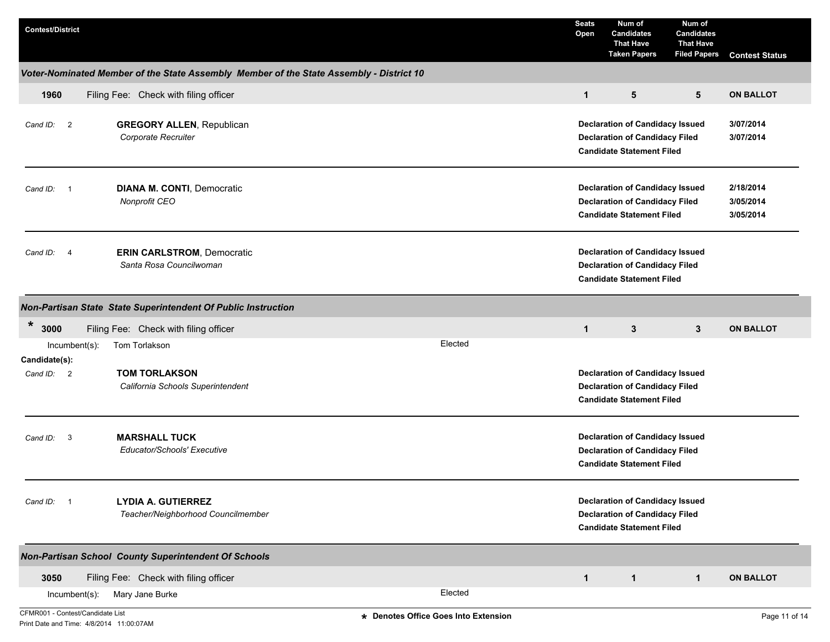| <b>Contest/District</b>          |                                                                                         |                                      | <b>Seats</b><br>Open | Num of<br><b>Candidates</b><br><b>That Have</b><br><b>Taken Papers</b>                                              | Num of<br><b>Candidates</b><br><b>That Have</b><br><b>Filed Papers</b> | <b>Contest Status</b>               |
|----------------------------------|-----------------------------------------------------------------------------------------|--------------------------------------|----------------------|---------------------------------------------------------------------------------------------------------------------|------------------------------------------------------------------------|-------------------------------------|
|                                  | Voter-Nominated Member of the State Assembly Member of the State Assembly - District 10 |                                      |                      |                                                                                                                     |                                                                        |                                     |
| 1960                             | Filing Fee: Check with filing officer                                                   |                                      | $\mathbf{1}$         | 5                                                                                                                   | 5                                                                      | <b>ON BALLOT</b>                    |
| Cand ID: 2                       | <b>GREGORY ALLEN, Republican</b><br>Corporate Recruiter                                 |                                      |                      | <b>Declaration of Candidacy Issued</b><br><b>Declaration of Candidacy Filed</b><br><b>Candidate Statement Filed</b> |                                                                        | 3/07/2014<br>3/07/2014              |
| Cand ID: 1                       | <b>DIANA M. CONTI, Democratic</b><br>Nonprofit CEO                                      |                                      |                      | <b>Declaration of Candidacy Issued</b><br><b>Declaration of Candidacy Filed</b><br><b>Candidate Statement Filed</b> |                                                                        | 2/18/2014<br>3/05/2014<br>3/05/2014 |
| Cand ID: 4                       | <b>ERIN CARLSTROM, Democratic</b><br>Santa Rosa Councilwoman                            |                                      |                      | <b>Declaration of Candidacy Issued</b><br><b>Declaration of Candidacy Filed</b><br><b>Candidate Statement Filed</b> |                                                                        |                                     |
|                                  | Non-Partisan State State Superintendent Of Public Instruction                           |                                      |                      |                                                                                                                     |                                                                        |                                     |
| $\ast$<br>3000                   | Filing Fee: Check with filing officer                                                   |                                      | $\mathbf{1}$         | $\mathbf{3}$                                                                                                        | 3                                                                      | <b>ON BALLOT</b>                    |
| Incumbent(s):<br>Candidate(s):   | Tom Torlakson                                                                           | Elected                              |                      |                                                                                                                     |                                                                        |                                     |
| Cand ID: 2                       | <b>TOM TORLAKSON</b><br>California Schools Superintendent                               |                                      |                      | <b>Declaration of Candidacy Issued</b><br><b>Declaration of Candidacy Filed</b><br><b>Candidate Statement Filed</b> |                                                                        |                                     |
| Cand ID: 3                       | <b>MARSHALL TUCK</b><br>Educator/Schools' Executive                                     |                                      |                      | <b>Declaration of Candidacy Issued</b><br><b>Declaration of Candidacy Filed</b><br><b>Candidate Statement Filed</b> |                                                                        |                                     |
| Cand ID: 1                       | <b>LYDIA A. GUTIERREZ</b><br>Teacher/Neighborhood Councilmember                         |                                      |                      | <b>Declaration of Candidacy Issued</b><br><b>Declaration of Candidacy Filed</b><br><b>Candidate Statement Filed</b> |                                                                        |                                     |
|                                  | <b>Non-Partisan School County Superintendent Of Schools</b>                             |                                      |                      |                                                                                                                     |                                                                        |                                     |
| 3050                             | Filing Fee: Check with filing officer                                                   |                                      | $\mathbf{1}$         | $\mathbf{1}$                                                                                                        | $\mathbf{1}$                                                           | <b>ON BALLOT</b>                    |
| Incumbent(s):                    | Mary Jane Burke                                                                         | Elected                              |                      |                                                                                                                     |                                                                        |                                     |
| CFMR001 - Contest/Candidate List |                                                                                         | * Denotes Office Goes Into Extension |                      |                                                                                                                     |                                                                        | Page 11 of 14                       |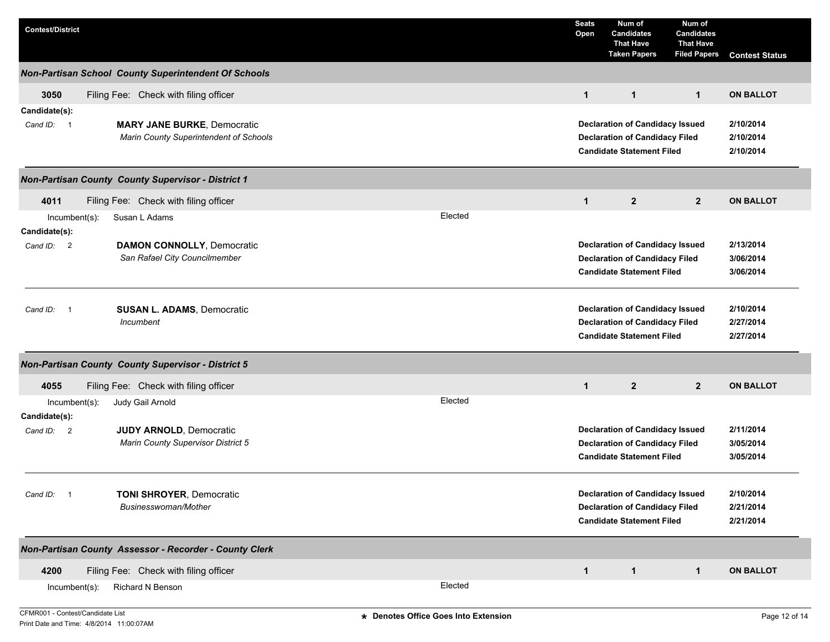| <b>Contest/District</b>                      |                                                                                                            | <b>Seats</b><br>Open | Num of<br><b>Candidates</b><br><b>That Have</b><br><b>Taken Papers</b>                                              | Num of<br><b>Candidates</b><br><b>That Have</b><br><b>Filed Papers</b> | <b>Contest Status</b>               |
|----------------------------------------------|------------------------------------------------------------------------------------------------------------|----------------------|---------------------------------------------------------------------------------------------------------------------|------------------------------------------------------------------------|-------------------------------------|
|                                              | <b>Non-Partisan School County Superintendent Of Schools</b>                                                |                      |                                                                                                                     |                                                                        |                                     |
| 3050                                         | Filing Fee: Check with filing officer                                                                      | $\mathbf{1}$         | $\mathbf{1}$                                                                                                        | $\mathbf{1}$                                                           | <b>ON BALLOT</b>                    |
| Candidate(s):<br>Cand ID: 1                  | <b>MARY JANE BURKE, Democratic</b><br>Marin County Superintendent of Schools                               |                      | <b>Declaration of Candidacy Issued</b><br><b>Declaration of Candidacy Filed</b><br><b>Candidate Statement Filed</b> |                                                                        | 2/10/2014<br>2/10/2014<br>2/10/2014 |
|                                              | Non-Partisan County County Supervisor - District 1                                                         |                      |                                                                                                                     |                                                                        |                                     |
| 4011<br>Incumbent(s):                        | Filing Fee: Check with filing officer<br>Elected<br>Susan L Adams                                          | $\mathbf{1}$         | $\overline{2}$                                                                                                      | $\mathbf{2}$                                                           | <b>ON BALLOT</b>                    |
| Candidate(s):<br>Cand ID: 2                  | <b>DAMON CONNOLLY, Democratic</b><br>San Rafael City Councilmember                                         |                      | <b>Declaration of Candidacy Issued</b><br><b>Declaration of Candidacy Filed</b><br><b>Candidate Statement Filed</b> |                                                                        | 2/13/2014<br>3/06/2014<br>3/06/2014 |
| Cand ID:<br>$\overline{1}$                   | <b>SUSAN L. ADAMS, Democratic</b><br>Incumbent                                                             |                      | <b>Declaration of Candidacy Issued</b><br><b>Declaration of Candidacy Filed</b><br><b>Candidate Statement Filed</b> |                                                                        | 2/10/2014<br>2/27/2014<br>2/27/2014 |
|                                              | <b>Non-Partisan County County Supervisor - District 5</b>                                                  |                      |                                                                                                                     |                                                                        |                                     |
| 4055                                         | Filing Fee: Check with filing officer                                                                      | $\mathbf{1}$         | $2^{\circ}$                                                                                                         | $\overline{2}$                                                         | <b>ON BALLOT</b>                    |
| Incumbent(s):<br>Candidate(s):<br>Cand ID: 2 | Elected<br>Judy Gail Arnold<br><b>JUDY ARNOLD, Democratic</b><br><b>Marin County Supervisor District 5</b> |                      | <b>Declaration of Candidacy Issued</b><br><b>Declaration of Candidacy Filed</b><br><b>Candidate Statement Filed</b> |                                                                        | 2/11/2014<br>3/05/2014<br>3/05/2014 |
| Cand ID: 1                                   | <b>TONI SHROYER, Democratic</b><br>Businesswoman/Mother                                                    |                      | <b>Declaration of Candidacy Issued</b><br><b>Declaration of Candidacy Filed</b><br><b>Candidate Statement Filed</b> |                                                                        | 2/10/2014<br>2/21/2014<br>2/21/2014 |
|                                              | Non-Partisan County Assessor - Recorder - County Clerk                                                     |                      |                                                                                                                     |                                                                        |                                     |
| 4200                                         | Filing Fee: Check with filing officer                                                                      | $\mathbf{1}$         | $\mathbf{1}$                                                                                                        | $\mathbf{1}$                                                           | <b>ON BALLOT</b>                    |
| Incumbent(s):                                | Elected<br>Richard N Benson                                                                                |                      |                                                                                                                     |                                                                        |                                     |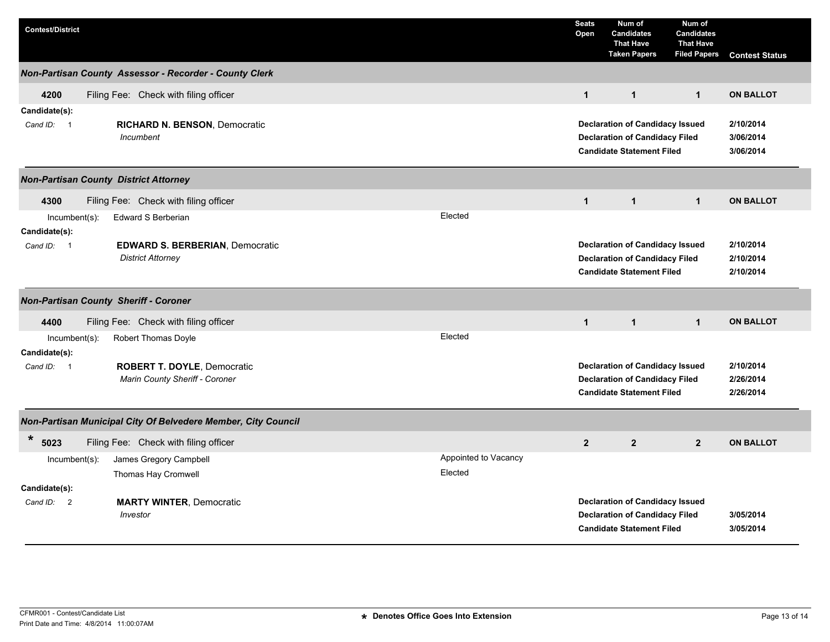| <b>Contest/District</b>                      |                                                               |                      | <b>Seats</b><br>Open                  | Num of<br><b>Candidates</b><br><b>That Have</b><br><b>Taken Papers</b> | Num of<br><b>Candidates</b><br><b>That Have</b><br><b>Filed Papers</b> | <b>Contest Status</b> |  |
|----------------------------------------------|---------------------------------------------------------------|----------------------|---------------------------------------|------------------------------------------------------------------------|------------------------------------------------------------------------|-----------------------|--|
|                                              | Non-Partisan County Assessor - Recorder - County Clerk        |                      |                                       |                                                                        |                                                                        |                       |  |
| 4200                                         | Filing Fee: Check with filing officer                         |                      | $\mathbf{1}$                          | $\mathbf{1}$                                                           | $\mathbf{1}$                                                           | <b>ON BALLOT</b>      |  |
| Candidate(s):                                |                                                               |                      |                                       |                                                                        |                                                                        |                       |  |
| Cand ID: 1                                   | <b>RICHARD N. BENSON, Democratic</b>                          |                      |                                       | <b>Declaration of Candidacy Issued</b>                                 | 2/10/2014                                                              |                       |  |
|                                              | Incumbent                                                     |                      |                                       | <b>Declaration of Candidacy Filed</b>                                  | 3/06/2014                                                              |                       |  |
|                                              |                                                               |                      |                                       | <b>Candidate Statement Filed</b>                                       |                                                                        | 3/06/2014             |  |
| <b>Non-Partisan County District Attorney</b> |                                                               |                      |                                       |                                                                        |                                                                        |                       |  |
| 4300                                         | Filing Fee: Check with filing officer                         |                      | $\mathbf{1}$                          | $\mathbf{1}$                                                           | $\mathbf{1}$                                                           | <b>ON BALLOT</b>      |  |
| $Incumbent(s)$ :                             | Edward S Berberian                                            | Elected              |                                       |                                                                        |                                                                        |                       |  |
| Candidate(s):                                |                                                               |                      |                                       |                                                                        |                                                                        |                       |  |
| Cand ID: 1                                   | <b>EDWARD S. BERBERIAN, Democratic</b>                        |                      |                                       | <b>Declaration of Candidacy Issued</b>                                 |                                                                        | 2/10/2014             |  |
|                                              | <b>District Attorney</b>                                      |                      |                                       | <b>Declaration of Candidacy Filed</b>                                  |                                                                        | 2/10/2014             |  |
|                                              |                                                               |                      |                                       | <b>Candidate Statement Filed</b>                                       |                                                                        | 2/10/2014             |  |
| <b>Non-Partisan County Sheriff - Coroner</b> |                                                               |                      |                                       |                                                                        |                                                                        |                       |  |
| 4400                                         | Filing Fee: Check with filing officer                         |                      | $\mathbf{1}$                          | $\mathbf{1}$                                                           | $\mathbf{1}$                                                           | <b>ON BALLOT</b>      |  |
| $Incumbent(s)$ :                             | Robert Thomas Doyle                                           | Elected              |                                       |                                                                        |                                                                        |                       |  |
| Candidate(s):                                |                                                               |                      |                                       |                                                                        |                                                                        |                       |  |
| Cand ID: 1                                   | ROBERT T. DOYLE, Democratic                                   |                      |                                       | <b>Declaration of Candidacy Issued</b>                                 | 2/10/2014                                                              |                       |  |
|                                              | Marin County Sheriff - Coroner                                |                      | <b>Declaration of Candidacy Filed</b> |                                                                        | 2/26/2014                                                              |                       |  |
|                                              |                                                               |                      |                                       | <b>Candidate Statement Filed</b>                                       |                                                                        | 2/26/2014             |  |
|                                              | Non-Partisan Municipal City Of Belvedere Member, City Council |                      |                                       |                                                                        |                                                                        |                       |  |
| $\ast$<br>5023                               | Filing Fee: Check with filing officer                         |                      | $\overline{2}$                        | 2 <sup>2</sup>                                                         | $\overline{2}$                                                         | <b>ON BALLOT</b>      |  |
| $Incumbent(s)$ :                             | James Gregory Campbell                                        | Appointed to Vacancy |                                       |                                                                        |                                                                        |                       |  |
|                                              | Thomas Hay Cromwell                                           | Elected              |                                       |                                                                        |                                                                        |                       |  |
| Candidate(s):                                |                                                               |                      |                                       |                                                                        |                                                                        |                       |  |
| Cand ID: 2                                   | <b>MARTY WINTER, Democratic</b>                               |                      |                                       | <b>Declaration of Candidacy Issued</b>                                 |                                                                        |                       |  |
|                                              | Investor                                                      |                      |                                       | <b>Declaration of Candidacy Filed</b>                                  |                                                                        | 3/05/2014             |  |
|                                              |                                                               |                      |                                       | <b>Candidate Statement Filed</b>                                       |                                                                        | 3/05/2014             |  |